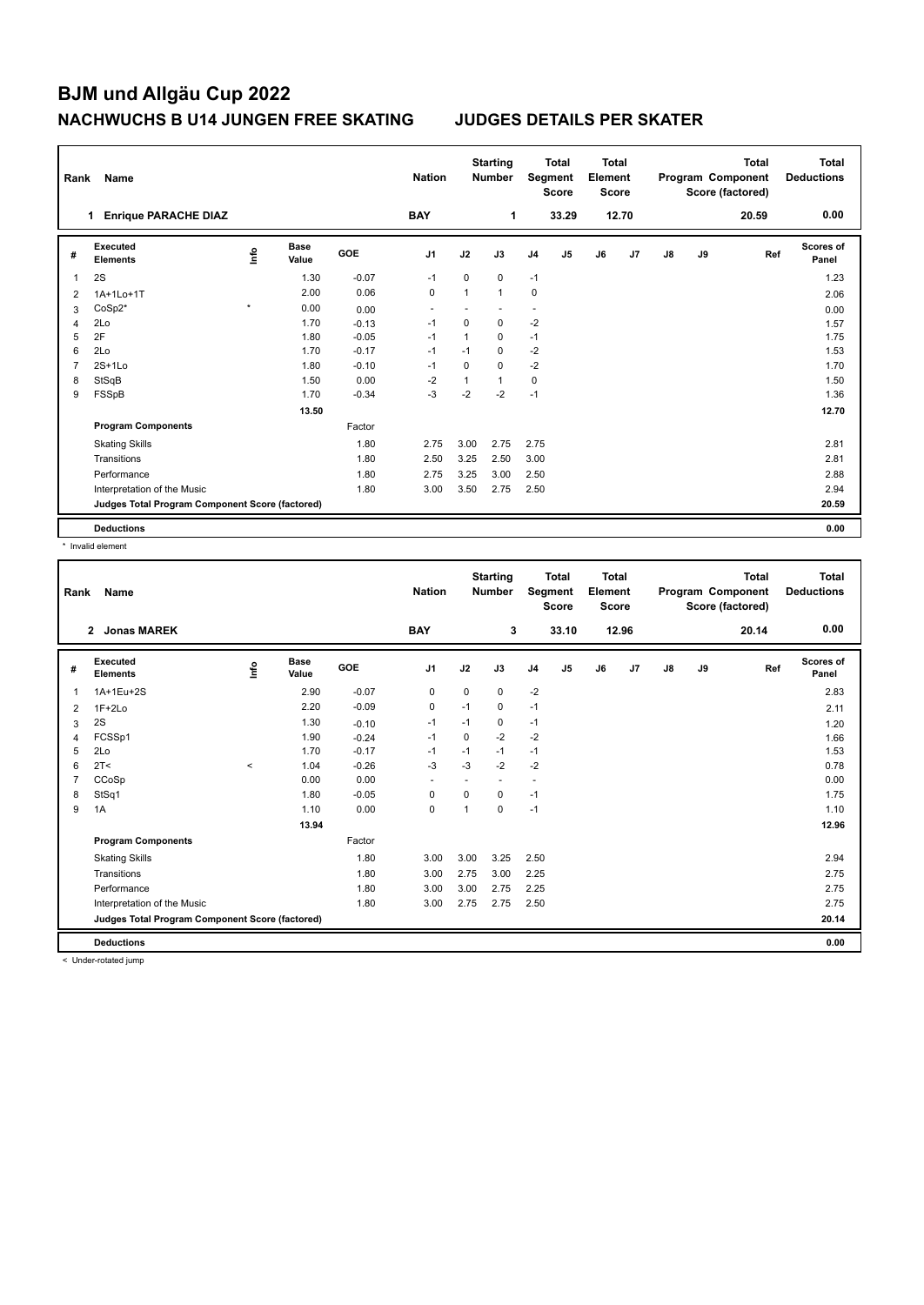## **BJM und Allgäu Cup 2022 NACHWUCHS B U14 JUNGEN FREE SKATING JUDGES DETAILS PER SKATER**

| Rank           | Name                                            |         |                      |            | <b>Nation</b>  |              | <b>Starting</b><br><b>Number</b> |                | <b>Total</b><br>Segment<br><b>Score</b> | <b>Total</b><br>Element<br><b>Score</b> |       |    |    | <b>Total</b><br>Program Component<br>Score (factored) | Total<br><b>Deductions</b> |
|----------------|-------------------------------------------------|---------|----------------------|------------|----------------|--------------|----------------------------------|----------------|-----------------------------------------|-----------------------------------------|-------|----|----|-------------------------------------------------------|----------------------------|
|                | <b>Enrique PARACHE DIAZ</b>                     |         |                      |            | <b>BAY</b>     |              | 1                                |                | 33.29                                   |                                         | 12.70 |    |    | 20.59                                                 | 0.00                       |
| #              | <b>Executed</b><br><b>Elements</b>              | lnfo    | <b>Base</b><br>Value | <b>GOE</b> | J <sub>1</sub> | J2           | J3                               | J <sub>4</sub> | J <sub>5</sub>                          | J6                                      | J7    | J8 | J9 | Ref                                                   | Scores of<br>Panel         |
| 1              | 2S                                              |         | 1.30                 | $-0.07$    | $-1$           | 0            | 0                                | $-1$           |                                         |                                         |       |    |    |                                                       | 1.23                       |
| 2              | 1A+1Lo+1T                                       |         | 2.00                 | 0.06       | $\pmb{0}$      | $\mathbf{1}$ | $\mathbf{1}$                     | $\mathbf 0$    |                                         |                                         |       |    |    |                                                       | 2.06                       |
| 3              | CoSp2*                                          | $\star$ | 0.00                 | 0.00       | ٠              |              |                                  | ٠              |                                         |                                         |       |    |    |                                                       | 0.00                       |
| $\overline{4}$ | 2Lo                                             |         | 1.70                 | $-0.13$    | $-1$           | $\Omega$     | 0                                | $-2$           |                                         |                                         |       |    |    |                                                       | 1.57                       |
| 5              | 2F                                              |         | 1.80                 | $-0.05$    | $-1$           | $\mathbf{1}$ | $\mathbf 0$                      | $-1$           |                                         |                                         |       |    |    |                                                       | 1.75                       |
| 6              | 2Lo                                             |         | 1.70                 | $-0.17$    | $-1$           | $-1$         | 0                                | $-2$           |                                         |                                         |       |    |    |                                                       | 1.53                       |
| 7              | $2S+1Lo$                                        |         | 1.80                 | $-0.10$    | $-1$           | $\Omega$     | $\Omega$                         | $-2$           |                                         |                                         |       |    |    |                                                       | 1.70                       |
| 8              | StSqB                                           |         | 1.50                 | 0.00       | $-2$           | $\mathbf{1}$ | $\mathbf{1}$                     | 0              |                                         |                                         |       |    |    |                                                       | 1.50                       |
| 9              | FSSpB                                           |         | 1.70                 | $-0.34$    | $-3$           | $-2$         | $-2$                             | $-1$           |                                         |                                         |       |    |    |                                                       | 1.36                       |
|                |                                                 |         | 13.50                |            |                |              |                                  |                |                                         |                                         |       |    |    |                                                       | 12.70                      |
|                | <b>Program Components</b>                       |         |                      | Factor     |                |              |                                  |                |                                         |                                         |       |    |    |                                                       |                            |
|                | <b>Skating Skills</b>                           |         |                      | 1.80       | 2.75           | 3.00         | 2.75                             | 2.75           |                                         |                                         |       |    |    |                                                       | 2.81                       |
|                | Transitions                                     |         |                      | 1.80       | 2.50           | 3.25         | 2.50                             | 3.00           |                                         |                                         |       |    |    |                                                       | 2.81                       |
|                | Performance                                     |         |                      | 1.80       | 2.75           | 3.25         | 3.00                             | 2.50           |                                         |                                         |       |    |    |                                                       | 2.88                       |
|                | Interpretation of the Music                     |         |                      | 1.80       | 3.00           | 3.50         | 2.75                             | 2.50           |                                         |                                         |       |    |    |                                                       | 2.94                       |
|                | Judges Total Program Component Score (factored) |         |                      |            |                |              |                                  |                |                                         |                                         |       |    |    |                                                       | 20.59                      |
|                | <b>Deductions</b>                               |         |                      |            |                |              |                                  |                |                                         |                                         |       |    |    |                                                       | 0.00                       |

\* Invalid element

| Rank | <b>Name</b>                                     |          |                      |         | <b>Nation</b>  |      | <b>Starting</b><br><b>Number</b> |                | <b>Total</b><br>Segment<br><b>Score</b> | Total<br>Element<br><b>Score</b> |       |               |    | <b>Total</b><br>Program Component<br>Score (factored) | <b>Total</b><br><b>Deductions</b> |
|------|-------------------------------------------------|----------|----------------------|---------|----------------|------|----------------------------------|----------------|-----------------------------------------|----------------------------------|-------|---------------|----|-------------------------------------------------------|-----------------------------------|
|      | <b>Jonas MAREK</b><br>$\mathbf{2}$              |          |                      |         | <b>BAY</b>     |      | 3                                |                | 33.10                                   |                                  | 12.96 |               |    | 20.14                                                 | 0.00                              |
| #    | Executed<br><b>Elements</b>                     | lnfo     | <b>Base</b><br>Value | GOE     | J <sub>1</sub> | J2   | J3                               | J <sub>4</sub> | J5                                      | J6                               | J7    | $\mathsf{J}8$ | J9 | Ref                                                   | Scores of<br>Panel                |
| 1    | 1A+1Eu+2S                                       |          | 2.90                 | $-0.07$ | 0              | 0    | 0                                | $-2$           |                                         |                                  |       |               |    |                                                       | 2.83                              |
| 2    | $1F+2Lo$                                        |          | 2.20                 | $-0.09$ | 0              | $-1$ | 0                                | $-1$           |                                         |                                  |       |               |    |                                                       | 2.11                              |
| 3    | 2S                                              |          | 1.30                 | $-0.10$ | $-1$           | $-1$ | 0                                | $-1$           |                                         |                                  |       |               |    |                                                       | 1.20                              |
| 4    | FCSSp1                                          |          | 1.90                 | $-0.24$ | $-1$           | 0    | $-2$                             | $-2$           |                                         |                                  |       |               |    |                                                       | 1.66                              |
| 5    | 2Lo                                             |          | 1.70                 | $-0.17$ | $-1$           | $-1$ | $-1$                             | $-1$           |                                         |                                  |       |               |    |                                                       | 1.53                              |
| 6    | 2T<                                             | $\hat{}$ | 1.04                 | $-0.26$ | $-3$           | $-3$ | $-2$                             | $-2$           |                                         |                                  |       |               |    |                                                       | 0.78                              |
|      | CCoSp                                           |          | 0.00                 | 0.00    | ٠              | ٠    | $\overline{\phantom{a}}$         | ٠              |                                         |                                  |       |               |    |                                                       | 0.00                              |
| 8    | StSq1                                           |          | 1.80                 | $-0.05$ | 0              | 0    | 0                                | $-1$           |                                         |                                  |       |               |    |                                                       | 1.75                              |
| 9    | 1A                                              |          | 1.10                 | 0.00    | 0              | 1    | $\mathbf 0$                      | $-1$           |                                         |                                  |       |               |    |                                                       | 1.10                              |
|      |                                                 |          | 13.94                |         |                |      |                                  |                |                                         |                                  |       |               |    |                                                       | 12.96                             |
|      | <b>Program Components</b>                       |          |                      | Factor  |                |      |                                  |                |                                         |                                  |       |               |    |                                                       |                                   |
|      | <b>Skating Skills</b>                           |          |                      | 1.80    | 3.00           | 3.00 | 3.25                             | 2.50           |                                         |                                  |       |               |    |                                                       | 2.94                              |
|      | Transitions                                     |          |                      | 1.80    | 3.00           | 2.75 | 3.00                             | 2.25           |                                         |                                  |       |               |    |                                                       | 2.75                              |
|      | Performance                                     |          |                      | 1.80    | 3.00           | 3.00 | 2.75                             | 2.25           |                                         |                                  |       |               |    |                                                       | 2.75                              |
|      | Interpretation of the Music                     |          |                      | 1.80    | 3.00           | 2.75 | 2.75                             | 2.50           |                                         |                                  |       |               |    |                                                       | 2.75                              |
|      | Judges Total Program Component Score (factored) |          |                      |         |                |      |                                  |                |                                         |                                  |       |               |    |                                                       | 20.14                             |
|      | <b>Deductions</b>                               |          |                      |         |                |      |                                  |                |                                         |                                  |       |               |    |                                                       | 0.00                              |

< Under-rotated jump